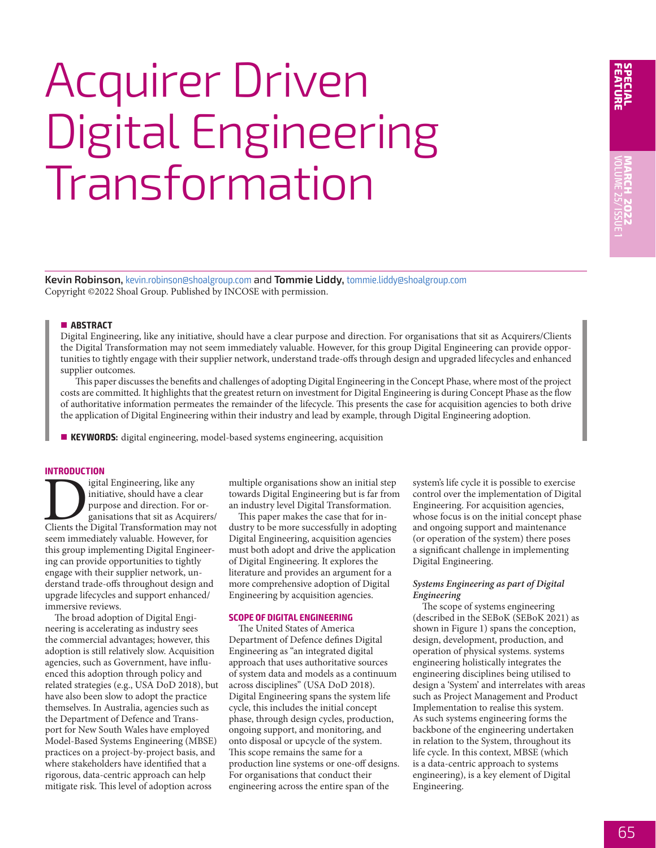**FEATURE**

# Acquirer Driven Digital Engineering **Transformation**

**Kevin Robinson,** kevin.robinson@shoalgroup.com and **Tommie Liddy,** tommie.liddy@shoalgroup.com Copyright ©2022 Shoal Group. Published by INCOSE with permission.

# ■ **ABSTRACT**

Digital Engineering, like any initiative, should have a clear purpose and direction. For organisations that sit as Acquirers/Clients the Digital Transformation may not seem immediately valuable. However, for this group Digital Engineering can provide opportunities to tightly engage with their supplier network, understand trade-offs through design and upgraded lifecycles and enhanced supplier outcomes.

This paper discusses the benefits and challenges of adopting Digital Engineering in the Concept Phase, where most of the project costs are committed. It highlights that the greatest return on investment for Digital Engineering is during Concept Phase as the flow of authoritative information permeates the remainder of the lifecycle. This presents the case for acquisition agencies to both drive the application of Digital Engineering within their industry and lead by example, through Digital Engineering adoption.

**KEYWORDS:** digital engineering, model-based systems engineering, acquisition

#### **INTRODUCTION**

Digital Engineering, like any initiative, should have a clear purpose and direction. For organisations that sit as Acquirers/<br>Clients the Digital Transformation may not initiative, should have a clear purpose and direction. For organisations that sit as Acquirers/ seem immediately valuable. However, for this group implementing Digital Engineering can provide opportunities to tightly engage with their supplier network, understand trade-offs throughout design and upgrade lifecycles and support enhanced/ immersive reviews.

The broad adoption of Digital Engineering is accelerating as industry sees the commercial advantages; however, this adoption is still relatively slow. Acquisition agencies, such as Government, have influenced this adoption through policy and related strategies (e.g., USA DoD 2018), but have also been slow to adopt the practice themselves. In Australia, agencies such as the Department of Defence and Transport for New South Wales have employed Model-Based Systems Engineering (MBSE) practices on a project-by-project basis, and where stakeholders have identified that a rigorous, data-centric approach can help mitigate risk. This level of adoption across

multiple organisations show an initial step towards Digital Engineering but is far from an industry level Digital Transformation.

This paper makes the case that for industry to be more successfully in adopting Digital Engineering, acquisition agencies must both adopt and drive the application of Digital Engineering. It explores the literature and provides an argument for a more comprehensive adoption of Digital Engineering by acquisition agencies.

## **SCOPE OF DIGITAL ENGINEERING**

The United States of America Department of Defence defines Digital Engineering as "an integrated digital approach that uses authoritative sources of system data and models as a continuum across disciplines" (USA DoD 2018). Digital Engineering spans the system life cycle, this includes the initial concept phase, through design cycles, production, ongoing support, and monitoring, and onto disposal or upcycle of the system. This scope remains the same for a production line systems or one-off designs. For organisations that conduct their engineering across the entire span of the

system's life cycle it is possible to exercise control over the implementation of Digital Engineering. For acquisition agencies, whose focus is on the initial concept phase and ongoing support and maintenance (or operation of the system) there poses a significant challenge in implementing Digital Engineering.

## *Systems Engineering as part of Digital Engineering*

The scope of systems engineering (described in the SEBoK (SEBoK 2021) as shown in Figure 1) spans the conception, design, development, production, and operation of physical systems. systems engineering holistically integrates the engineering disciplines being utilised to design a 'System' and interrelates with areas such as Project Management and Product Implementation to realise this system. As such systems engineering forms the backbone of the engineering undertaken in relation to the System, throughout its life cycle. In this context, MBSE (which is a data-centric approach to systems engineering), is a key element of Digital Engineering.

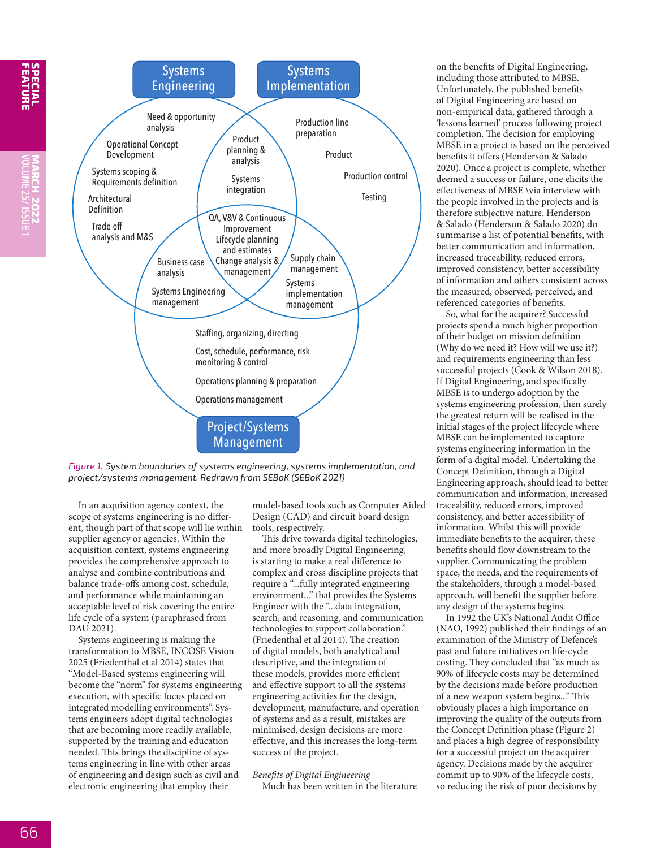

*Figure 1. System boundaries of systems engineering, systems implementation, and project/systems management. Redrawn from SEBoK (SEBoK 2021)*

In an acquisition agency context, the scope of systems engineering is no different, though part of that scope will lie within supplier agency or agencies. Within the acquisition context, systems engineering provides the comprehensive approach to analyse and combine contributions and balance trade-offs among cost, schedule, and performance while maintaining an acceptable level of risk covering the entire life cycle of a system (paraphrased from DAU 2021).

Systems engineering is making the transformation to MBSE, INCOSE Vision 2025 (Friedenthal et al 2014) states that "Model-Based systems engineering will become the "norm" for systems engineering execution, with specific focus placed on integrated modelling environments". Systems engineers adopt digital technologies that are becoming more readily available, supported by the training and education needed. This brings the discipline of systems engineering in line with other areas of engineering and design such as civil and electronic engineering that employ their

model-based tools such as Computer Aided Design (CAD) and circuit board design tools, respectively.

This drive towards digital technologies, and more broadly Digital Engineering, is starting to make a real difference to complex and cross discipline projects that require a "...fully integrated engineering environment..." that provides the Systems Engineer with the "...data integration, search, and reasoning, and communication technologies to support collaboration." (Friedenthal et al 2014). The creation of digital models, both analytical and descriptive, and the integration of these models, provides more efficient and effective support to all the systems engineering activities for the design, development, manufacture, and operation of systems and as a result, mistakes are minimised, design decisions are more effective, and this increases the long-term success of the project.

*Benefits of Digital Engineering* Much has been written in the literature

on the benefits of Digital Engineering, including those attributed to MBSE. Unfortunately, the published benefits of Digital Engineering are based on non-empirical data, gathered through a 'lessons learned' process following project completion. The decision for employing MBSE in a project is based on the perceived benefits it offers (Henderson & Salado 2020). Once a project is complete, whether deemed a success or failure, one elicits the effectiveness of MBSE \via interview with the people involved in the projects and is therefore subjective nature. Henderson & Salado (Henderson & Salado 2020) do summarise a list of potential benefits, with better communication and information, increased traceability, reduced errors, improved consistency, better accessibility of information and others consistent across the measured, observed, perceived, and referenced categories of benefits.

So, what for the acquirer? Successful projects spend a much higher proportion of their budget on mission definition (Why do we need it? How will we use it?) and requirements engineering than less successful projects (Cook & Wilson 2018). If Digital Engineering, and specifically MBSE is to undergo adoption by the systems engineering profession, then surely the greatest return will be realised in the initial stages of the project lifecycle where MBSE can be implemented to capture systems engineering information in the form of a digital model. Undertaking the Concept Definition, through a Digital Engineering approach, should lead to better communication and information, increased traceability, reduced errors, improved consistency, and better accessibility of information. Whilst this will provide immediate benefits to the acquirer, these benefits should flow downstream to the supplier. Communicating the problem space, the needs, and the requirements of the stakeholders, through a model-based approach, will benefit the supplier before any design of the systems begins.

In 1992 the UK's National Audit Office (NAO, 1992) published their findings of an examination of the Ministry of Defence's past and future initiatives on life-cycle costing. They concluded that "as much as 90% of lifecycle costs may be determined by the decisions made before production of a new weapon system begins..." This obviously places a high importance on improving the quality of the outputs from the Concept Definition phase (Figure 2) and places a high degree of responsibility for a successful project on the acquirer agency. Decisions made by the acquirer commit up to 90% of the lifecycle costs, so reducing the risk of poor decisions by

**FEATURE**

**SPECIAL MARCH 2O22**

VOLUME 25/ ISSUE 1

**MARCH 2022**<br>VOLUME 25/ ISSUE 1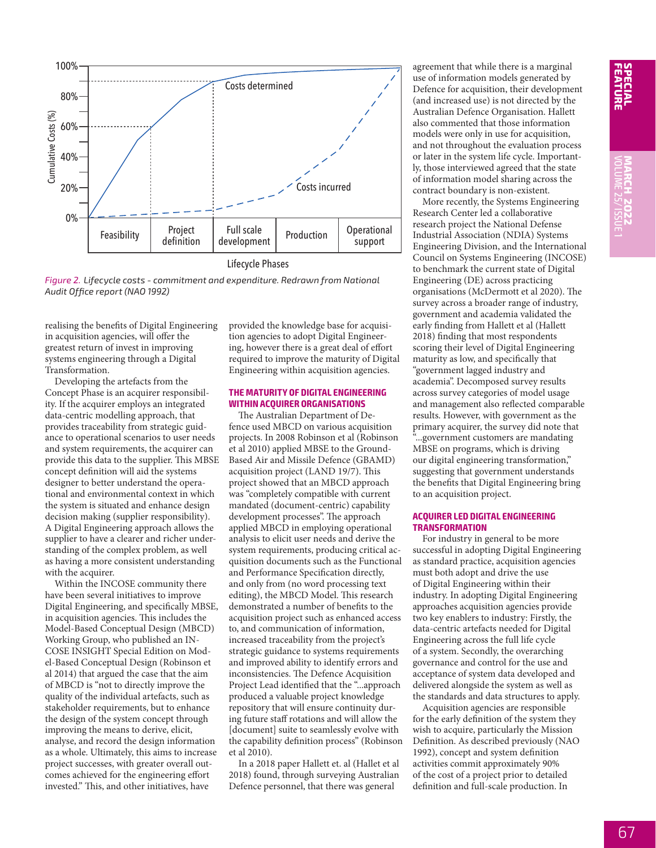

Lifecycle Phases

*Figure 2. Lifecycle costs - commitment and expenditure. Redrawn from National Audit Office report (NAO 1992)*

realising the benefits of Digital Engineering in acquisition agencies, will offer the greatest return of invest in improving systems engineering through a Digital Transformation.

Developing the artefacts from the Concept Phase is an acquirer responsibility. If the acquirer employs an integrated data-centric modelling approach, that provides traceability from strategic guidance to operational scenarios to user needs and system requirements, the acquirer can provide this data to the supplier. This MBSE concept definition will aid the systems designer to better understand the operational and environmental context in which the system is situated and enhance design decision making (supplier responsibility). A Digital Engineering approach allows the supplier to have a clearer and richer understanding of the complex problem, as well as having a more consistent understanding with the acquirer.

Within the INCOSE community there have been several initiatives to improve Digital Engineering, and specifically MBSE, in acquisition agencies. This includes the Model-Based Conceptual Design (MBCD) Working Group, who published an IN-COSE INSIGHT Special Edition on Model-Based Conceptual Design (Robinson et al 2014) that argued the case that the aim of MBCD is "not to directly improve the quality of the individual artefacts, such as stakeholder requirements, but to enhance the design of the system concept through improving the means to derive, elicit, analyse, and record the design information as a whole. Ultimately, this aims to increase project successes, with greater overall outcomes achieved for the engineering effort invested." This, and other initiatives, have

provided the knowledge base for acquisition agencies to adopt Digital Engineering, however there is a great deal of effort required to improve the maturity of Digital Engineering within acquisition agencies.

## **THE MATURITY OF DIGITAL ENGINEERING WITHIN ACQUIRER ORGANISATIONS**

The Australian Department of Defence used MBCD on various acquisition projects. In 2008 Robinson et al (Robinson et al 2010) applied MBSE to the Ground-Based Air and Missile Defence (GBAMD) acquisition project (LAND 19/7). This project showed that an MBCD approach was "completely compatible with current mandated (document-centric) capability development processes". The approach applied MBCD in employing operational analysis to elicit user needs and derive the system requirements, producing critical acquisition documents such as the Functional and Performance Specification directly, and only from (no word processing text editing), the MBCD Model. This research demonstrated a number of benefits to the acquisition project such as enhanced access to, and communication of information, increased traceability from the project's strategic guidance to systems requirements and improved ability to identify errors and inconsistencies. The Defence Acquisition Project Lead identified that the "...approach produced a valuable project knowledge repository that will ensure continuity during future staff rotations and will allow the [document] suite to seamlessly evolve with the capability definition process" (Robinson et al 2010).

In a 2018 paper Hallett et. al (Hallet et al 2018) found, through surveying Australian Defence personnel, that there was general

agreement that while there is a marginal use of information models generated by Defence for acquisition, their development (and increased use) is not directed by the Australian Defence Organisation. Hallett also commented that those information models were only in use for acquisition, and not throughout the evaluation process or later in the system life cycle. Importantly, those interviewed agreed that the state of information model sharing across the contract boundary is non-existent.

More recently, the Systems Engineering Research Center led a collaborative research project the National Defense Industrial Association (NDIA) Systems Engineering Division, and the International Council on Systems Engineering (INCOSE) to benchmark the current state of Digital Engineering (DE) across practicing organisations (McDermott et al 2020). The survey across a broader range of industry, government and academia validated the early finding from Hallett et al (Hallett 2018) finding that most respondents scoring their level of Digital Engineering maturity as low, and specifically that "government lagged industry and academia". Decomposed survey results across survey categories of model usage and management also reflected comparable results. However, with government as the primary acquirer, the survey did note that "...government customers are mandating MBSE on programs, which is driving our digital engineering transformation," suggesting that government understands the benefits that Digital Engineering bring to an acquisition project.

#### **ACQUIRER LED DIGITAL ENGINEERING TRANSFORMATION**

For industry in general to be more successful in adopting Digital Engineering as standard practice, acquisition agencies must both adopt and drive the use of Digital Engineering within their industry. In adopting Digital Engineering approaches acquisition agencies provide two key enablers to industry: Firstly, the data-centric artefacts needed for Digital Engineering across the full life cycle of a system. Secondly, the overarching governance and control for the use and acceptance of system data developed and delivered alongside the system as well as the standards and data structures to apply.

Acquisition agencies are responsible for the early definition of the system they wish to acquire, particularly the Mission Definition. As described previously (NAO 1992), concept and system definition activities commit approximately 90% of the cost of a project prior to detailed definition and full-scale production. In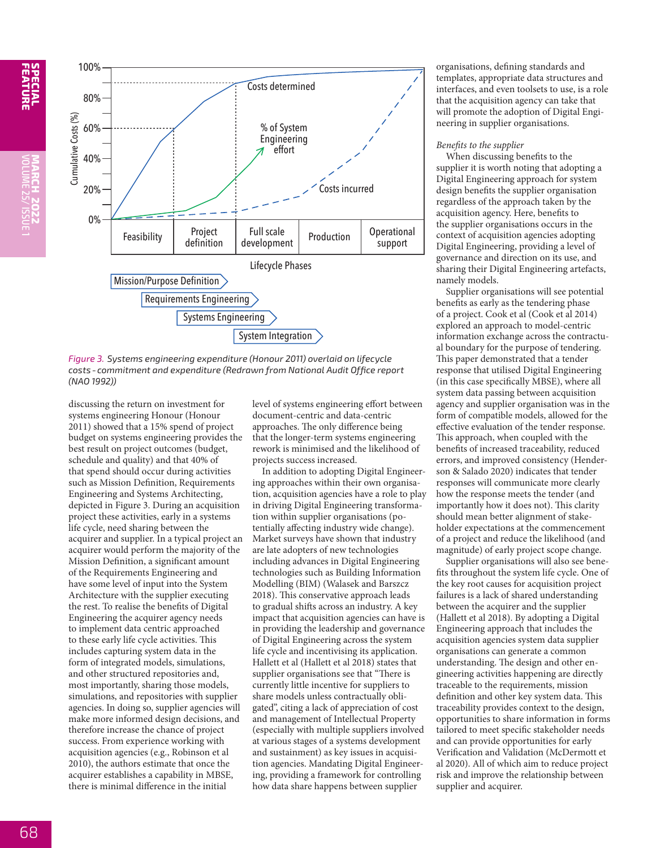**FEATURE**



*Figure 3. Systems engineering expenditure (Honour 2011) overlaid on lifecycle costs- commitment and expenditure (Redrawn from National Audit Office report (NAO 1992))*

discussing the return on investment for systems engineering Honour (Honour 2011) showed that a 15% spend of project budget on systems engineering provides the best result on project outcomes (budget, schedule and quality) and that 40% of that spend should occur during activities such as Mission Definition, Requirements Engineering and Systems Architecting, depicted in Figure 3. During an acquisition project these activities, early in a systems life cycle, need sharing between the acquirer and supplier. In a typical project an acquirer would perform the majority of the Mission Definition, a significant amount of the Requirements Engineering and have some level of input into the System Architecture with the supplier executing the rest. To realise the benefits of Digital Engineering the acquirer agency needs to implement data centric approached to these early life cycle activities. This includes capturing system data in the form of integrated models, simulations, and other structured repositories and, most importantly, sharing those models, simulations, and repositories with supplier agencies. In doing so, supplier agencies will make more informed design decisions, and therefore increase the chance of project success. From experience working with acquisition agencies (e.g., Robinson et al 2010), the authors estimate that once the acquirer establishes a capability in MBSE, there is minimal difference in the initial

level of systems engineering effort between document-centric and data-centric approaches. The only difference being that the longer-term systems engineering rework is minimised and the likelihood of projects success increased.

In addition to adopting Digital Engineering approaches within their own organisation, acquisition agencies have a role to play in driving Digital Engineering transformation within supplier organisations (potentially affecting industry wide change). Market surveys have shown that industry are late adopters of new technologies including advances in Digital Engineering technologies such as Building Information Modelling (BIM) (Walasek and Barszcz 2018). This conservative approach leads to gradual shifts across an industry. A key impact that acquisition agencies can have is in providing the leadership and governance of Digital Engineering across the system life cycle and incentivising its application. Hallett et al (Hallett et al 2018) states that supplier organisations see that "There is currently little incentive for suppliers to share models unless contractually obligated", citing a lack of appreciation of cost and management of Intellectual Property (especially with multiple suppliers involved at various stages of a systems development and sustainment) as key issues in acquisition agencies. Mandating Digital Engineering, providing a framework for controlling how data share happens between supplier

organisations, defining standards and templates, appropriate data structures and interfaces, and even toolsets to use, is a role that the acquisition agency can take that will promote the adoption of Digital Engineering in supplier organisations.

#### *Benefits to the supplier*

When discussing benefits to the supplier it is worth noting that adopting a Digital Engineering approach for system design benefits the supplier organisation regardless of the approach taken by the acquisition agency. Here, benefits to the supplier organisations occurs in the context of acquisition agencies adopting Digital Engineering, providing a level of governance and direction on its use, and sharing their Digital Engineering artefacts, namely models.

Supplier organisations will see potential benefits as early as the tendering phase of a project. Cook et al (Cook et al 2014) explored an approach to model-centric information exchange across the contractual boundary for the purpose of tendering. This paper demonstrated that a tender response that utilised Digital Engineering (in this case specifically MBSE), where all system data passing between acquisition agency and supplier organisation was in the form of compatible models, allowed for the effective evaluation of the tender response. This approach, when coupled with the benefits of increased traceability, reduced errors, and improved consistency (Henderson & Salado 2020) indicates that tender responses will communicate more clearly how the response meets the tender (and importantly how it does not). This clarity should mean better alignment of stakeholder expectations at the commencement of a project and reduce the likelihood (and magnitude) of early project scope change.

Supplier organisations will also see benefits throughout the system life cycle. One of the key root causes for acquisition project failures is a lack of shared understanding between the acquirer and the supplier (Hallett et al 2018). By adopting a Digital Engineering approach that includes the acquisition agencies system data supplier organisations can generate a common understanding. The design and other engineering activities happening are directly traceable to the requirements, mission definition and other key system data. This traceability provides context to the design, opportunities to share information in forms tailored to meet specific stakeholder needs and can provide opportunities for early Verification and Validation (McDermott et al 2020). All of which aim to reduce project risk and improve the relationship between supplier and acquirer.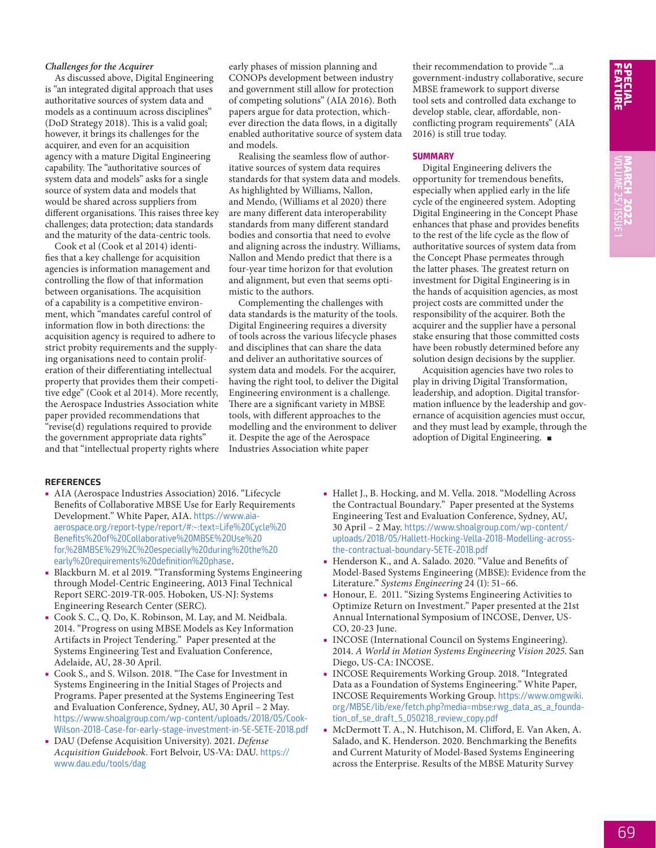# *Challenges for the Acquirer*

As discussed above, Digital Engineering is "an integrated digital approach that uses authoritative sources of system data and models as a continuum across disciplines" (DoD Strategy 2018). This is a valid goal; however, it brings its challenges for the acquirer, and even for an acquisition agency with a mature Digital Engineering capability. The "authoritative sources of system data and models" asks for a single source of system data and models that would be shared across suppliers from different organisations. This raises three key challenges; data protection; data standards and the maturity of the data-centric tools.

Cook et al (Cook et al 2014) identifies that a key challenge for acquisition agencies is information management and controlling the flow of that information between organisations. The acquisition of a capability is a competitive environment, which "mandates careful control of information flow in both directions: the acquisition agency is required to adhere to strict probity requirements and the supplying organisations need to contain proliferation of their differentiating intellectual property that provides them their competitive edge" (Cook et al 2014). More recently, the Aerospace Industries Association white paper provided recommendations that "revise(d) regulations required to provide the government appropriate data rights" and that "intellectual property rights where

early phases of mission planning and CONOPs development between industry and government still allow for protection of competing solutions" (AIA 2016). Both papers argue for data protection, whichever direction the data flows, in a digitally enabled authoritative source of system data and models.

Realising the seamless flow of authoritative sources of system data requires standards for that system data and models. As highlighted by Williams, Nallon, and Mendo, (Williams et al 2020) there are many different data interoperability standards from many different standard bodies and consortia that need to evolve and aligning across the industry. Williams, Nallon and Mendo predict that there is a four-year time horizon for that evolution and alignment, but even that seems optimistic to the authors.

Complementing the challenges with data standards is the maturity of the tools. Digital Engineering requires a diversity of tools across the various lifecycle phases and disciplines that can share the data and deliver an authoritative sources of system data and models. For the acquirer, having the right tool, to deliver the Digital Engineering environment is a challenge. There are a significant variety in MBSE tools, with different approaches to the modelling and the environment to deliver it. Despite the age of the Aerospace Industries Association white paper

their recommendation to provide "...a government-industry collaborative, secure MBSE framework to support diverse tool sets and controlled data exchange to develop stable, clear, affordable, nonconflicting program requirements" (AIA 2016) is still true today.

#### **SUMMARY**

Digital Engineering delivers the opportunity for tremendous benefits, especially when applied early in the life cycle of the engineered system. Adopting Digital Engineering in the Concept Phase enhances that phase and provides benefits to the rest of the life cycle as the flow of authoritative sources of system data from the Concept Phase permeates through the latter phases. The greatest return on investment for Digital Engineering is in the hands of acquisition agencies, as most project costs are committed under the responsibility of the acquirer. Both the acquirer and the supplier have a personal stake ensuring that those committed costs have been robustly determined before any solution design decisions by the supplier.

Acquisition agencies have two roles to play in driving Digital Transformation, leadership, and adoption. Digital transformation influence by the leadership and governance of acquisition agencies must occur, and they must lead by example, through the adoption of Digital Engineering.  $\blacksquare$ 

#### **REFERENCES**

- AIA (Aerospace Industries Association) 2016. "Lifecycle Benefits of Collaborative MBSE Use for Early Requirements Development." White Paper, AIA. https://www.aiaaerospace.org/report-type/report/#:~:text=Life%20Cycle%20 Benefits%20of%20Collaborative%20MBSE%20Use%20 for,%28MBSE%29%2C%20especially%20during%20the%20 early%20requirements%20definition%20phase.
- Blackburn M. et al 2019. "Transforming Systems Engineering through Model-Centric Engineering, A013 Final Technical Report SERC-2019-TR-005. Hoboken, US-NJ: Systems Engineering Research Center (SERC).
- Cook S. C., Q. Do, K. Robinson, M. Lay, and M. Neidbala. 2014. "Progress on using MBSE Models as Key Information Artifacts in Project Tendering." Paper presented at the Systems Engineering Test and Evaluation Conference, Adelaide, AU, 28-30 April.
- Cook S., and S. Wilson. 2018. "The Case for Investment in Systems Engineering in the Initial Stages of Projects and Programs. Paper presented at the Systems Engineering Test and Evaluation Conference, Sydney, AU, 30 April – 2 May. https://www.shoalgroup.com/wp-content/uploads/2018/05/Cook-Wilson-2018-Case-for-early-stage-investment-in-SE-SETE-2018.pdf
- DAU (Defense Acquisition University). 2021. *Defense Acquisition Guidebook*. Fort Belvoir, US-VA: DAU. https:// www.dau.edu/tools/dag
- Hallet J., B. Hocking, and M. Vella. 2018. "Modelling Across the Contractual Boundary." Paper presented at the Systems Engineering Test and Evaluation Conference, Sydney, AU, 30 April – 2 May. https://www.shoalgroup.com/wp-content/ uploads/2018/05/Hallett-Hocking-Vella-2018-Modelling-acrossthe-contractual-boundary-SETE-2018.pdf
- Henderson K., and A. Salado. 2020. "Value and Benefits of Model-Based Systems Engineering (MBSE): Evidence from the Literature." *Systems Engineering* 24 (1): 51–66.
- Honour, E. 2011. "Sizing Systems Engineering Activities to Optimize Return on Investment." Paper presented at the 21st Annual International Symposium of INCOSE, Denver, US-CO, 20-23 June.
- INCOSE (International Council on Systems Engineering). 2014. *A World in Motion Systems Engineering Vision 2025*. San Diego, US-CA: INCOSE.
- INCOSE Requirements Working Group. 2018. "Integrated Data as a Foundation of Systems Engineering." White Paper, INCOSE Requirements Working Group. https://www.omgwiki. org/MBSE/lib/exe/fetch.php?media=mbse:rwg\_data\_as\_a\_foundation\_of\_se\_draft\_5\_050218\_review\_copy.pdf
- McDermott T. A., N. Hutchison, M. Clifford, E. Van Aken, A. Salado, and K. Henderson. 2020. Benchmarking the Benefits and Current Maturity of Model-Based Systems Engineering across the Enterprise. Results of the MBSE Maturity Survey